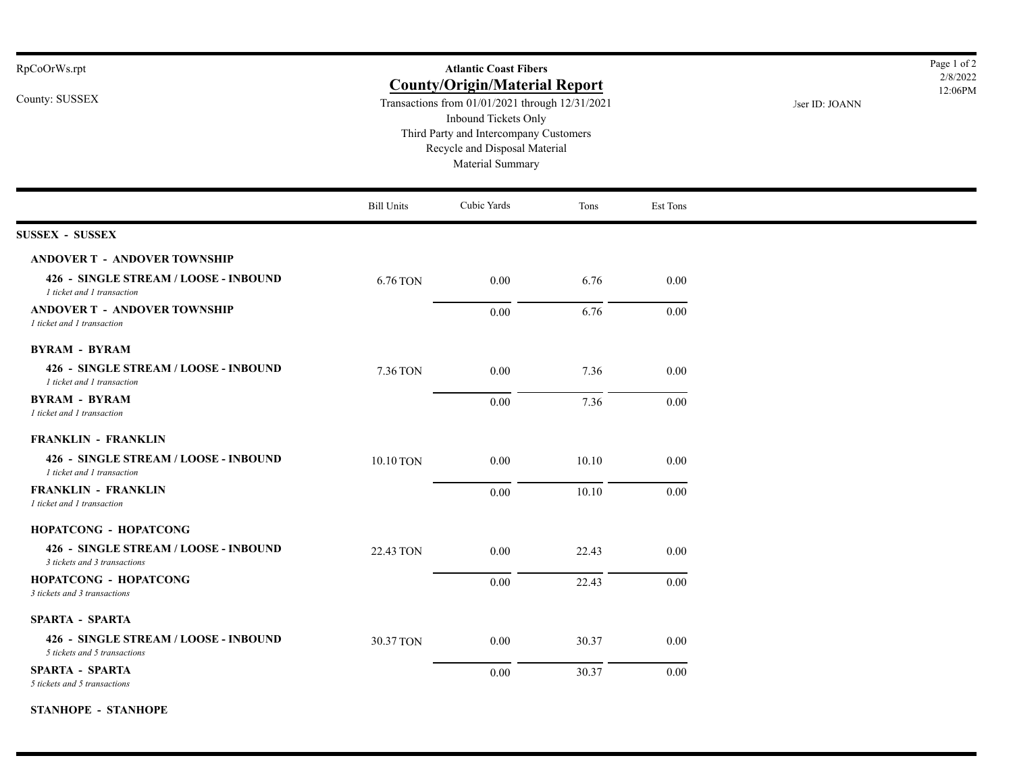| RpCoOrWs.rpt                                                          |                   | <b>Atlantic Coast Fibers</b>                                                                                                                                                                                   |                | Page 1 of 2<br>2/8/2022 |  |  |
|-----------------------------------------------------------------------|-------------------|----------------------------------------------------------------------------------------------------------------------------------------------------------------------------------------------------------------|----------------|-------------------------|--|--|
| County: SUSSEX                                                        |                   | <b>County/Origin/Material Report</b><br>Transactions from 01/01/2021 through 12/31/2021<br>Inbound Tickets Only<br>Third Party and Intercompany Customers<br>Recycle and Disposal Material<br>Material Summary | Jser ID: JOANN | 12:06PM                 |  |  |
|                                                                       | <b>Bill Units</b> | Cubic Yards                                                                                                                                                                                                    | Tons           | Est Tons                |  |  |
| <b>SUSSEX - SUSSEX</b>                                                |                   |                                                                                                                                                                                                                |                |                         |  |  |
| <b>ANDOVER T - ANDOVER TOWNSHIP</b>                                   |                   |                                                                                                                                                                                                                |                |                         |  |  |
| 426 - SINGLE STREAM / LOOSE - INBOUND<br>I ticket and I transaction   | 6.76 TON          | 0.00                                                                                                                                                                                                           | 6.76           | 0.00                    |  |  |
| <b>ANDOVER T - ANDOVER TOWNSHIP</b><br>I ticket and I transaction     |                   | 0.00                                                                                                                                                                                                           | 6.76           | 0.00                    |  |  |
| <b>BYRAM - BYRAM</b>                                                  |                   |                                                                                                                                                                                                                |                |                         |  |  |
| 426 - SINGLE STREAM / LOOSE - INBOUND<br>I ticket and I transaction   | 7.36 TON          | 0.00                                                                                                                                                                                                           | 7.36           | 0.00                    |  |  |
| <b>BYRAM - BYRAM</b><br>1 ticket and 1 transaction                    |                   | 0.00                                                                                                                                                                                                           | 7.36           | 0.00                    |  |  |
| <b>FRANKLIN - FRANKLIN</b>                                            |                   |                                                                                                                                                                                                                |                |                         |  |  |
| 426 - SINGLE STREAM / LOOSE - INBOUND<br>I ticket and I transaction   | 10.10 TON         | 0.00                                                                                                                                                                                                           | 10.10          | 0.00                    |  |  |
| <b>FRANKLIN - FRANKLIN</b><br>I ticket and I transaction              |                   | 0.00                                                                                                                                                                                                           | 10.10          | 0.00                    |  |  |
| HOPATCONG - HOPATCONG                                                 |                   |                                                                                                                                                                                                                |                |                         |  |  |
| 426 - SINGLE STREAM / LOOSE - INBOUND<br>3 tickets and 3 transactions | 22.43 TON         | 0.00                                                                                                                                                                                                           | 22.43          | $0.00\,$                |  |  |
| <b>HOPATCONG - HOPATCONG</b><br>3 tickets and 3 transactions          |                   | 0.00                                                                                                                                                                                                           | 22.43          | 0.00                    |  |  |
| <b>SPARTA - SPARTA</b>                                                |                   |                                                                                                                                                                                                                |                |                         |  |  |
| 426 - SINGLE STREAM / LOOSE - INBOUND<br>5 tickets and 5 transactions | 30.37 TON         | 0.00                                                                                                                                                                                                           | 30.37          | $0.00\,$                |  |  |
| <b>SPARTA - SPARTA</b><br>5 tickets and 5 transactions                |                   | 0.00                                                                                                                                                                                                           | 30.37          | 0.00                    |  |  |

**STANHOPE - STANHOPE**